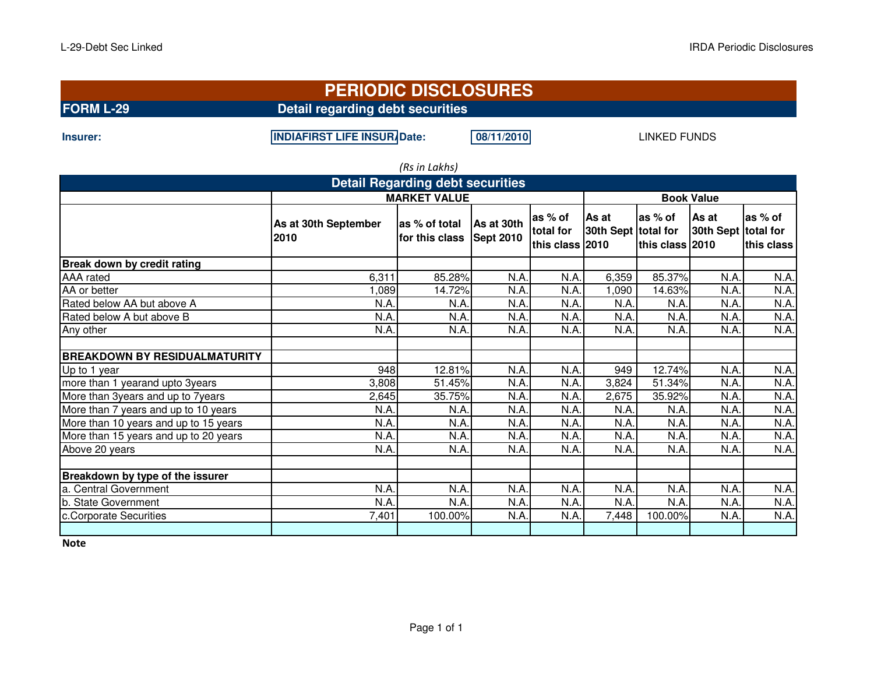| <b>PERIODIC DISCLOSURES</b> |  |  |  |  |  |
|-----------------------------|--|--|--|--|--|
|                             |  |  |  |  |  |
|                             |  |  |  |  |  |

**Insurer:**

**INDIAFIRST LIFE INSURADate:** 08/11/2010

LINKED FUNDS

| (Rs in Lakhs)                           |                              |                                            |                  |                                         |                              |                             |                           |                                    |  |  |  |
|-----------------------------------------|------------------------------|--------------------------------------------|------------------|-----------------------------------------|------------------------------|-----------------------------|---------------------------|------------------------------------|--|--|--|
| <b>Detail Regarding debt securities</b> |                              |                                            |                  |                                         |                              |                             |                           |                                    |  |  |  |
|                                         | <b>MARKET VALUE</b>          | <b>Book Value</b>                          |                  |                                         |                              |                             |                           |                                    |  |  |  |
|                                         | As at 30th September<br>2010 | as % of total As at 30th<br>for this class | <b>Sept 2010</b> | as % of<br>total for<br>this class 2010 | As at<br>30th Sept total for | las % of<br>this class 2010 | <b>As at</b><br>30th Sept | as % of<br>total for<br>this class |  |  |  |
| Break down by credit rating             |                              |                                            |                  |                                         |                              |                             |                           |                                    |  |  |  |
| AAA rated                               | 6,311                        | 85.28%                                     | N.A              | N.A.                                    | 6,359                        | 85.37%                      | N.A.                      | N.A.                               |  |  |  |
| AA or better                            | 1,089                        | 14.72%                                     | N.A              | N.A.                                    | 1,090                        | 14.63%                      | N.A                       | N.A.                               |  |  |  |
| Rated below AA but above A              | N.A                          | N.A.                                       | N.A              | N.A.                                    | N.A                          | N.A.                        | N.A                       | N.A.                               |  |  |  |
| Rated below A but above B               | N.A                          | N.A.                                       | N.A              | N.A.                                    | N.A                          | N.A.                        | N.A                       | N.A.                               |  |  |  |
| Any other                               | N.A.                         | N.A.                                       | N.A.             | N.A.                                    | N.A                          | N.A                         | N.A                       | N.A.                               |  |  |  |
| <b>BREAKDOWN BY RESIDUALMATURITY</b>    |                              |                                            |                  |                                         |                              |                             |                           |                                    |  |  |  |
| Up to 1 year                            | 948                          | 12.81%                                     | N.A              | N.A.                                    | 949                          | 12.74%                      | N.A.                      | N.A.                               |  |  |  |
| more than 1 yearand upto 3years         | 3,808                        | 51.45%                                     | N.A.             | N.A.                                    | 3,824                        | 51.34%                      | N.A                       | N.A.                               |  |  |  |
| More than 3years and up to 7years       | 2,645                        | 35.75%                                     | N.A.             | N.A.                                    | 2,675                        | 35.92%                      | N.A                       | N.A.                               |  |  |  |
| More than 7 years and up to 10 years    | N.A                          | N.A.                                       | N.A              | N.A.                                    | N.A                          | N.A.                        | N.A                       | N.A.                               |  |  |  |
| More than 10 years and up to 15 years   | N.A                          | N.A                                        | N.A              | N.A.                                    | N.A                          | N.A                         | N.A                       | N.A.                               |  |  |  |
| More than 15 years and up to 20 years   | N.A.                         | N.A.                                       | N.A.             | N.A.                                    | N.A                          | N.A.                        | N.A                       | N.A.                               |  |  |  |
| Above 20 years                          | N.A.                         | N.A                                        | N.A              | N.A.                                    | N.A                          | N.A.                        | N.A                       | N.A.                               |  |  |  |
| Breakdown by type of the issurer        |                              |                                            |                  |                                         |                              |                             |                           |                                    |  |  |  |
| a. Central Government                   | N.A.                         | N.A                                        | N.A              | N.A.                                    | N.A                          | N.A.                        | N.A                       | N.A.                               |  |  |  |
| b. State Government                     | N.A.                         | N.A.                                       | N.A.             | N.A.                                    | N.A                          | N.A.                        | N.A                       | N.A.                               |  |  |  |
| c.Corporate Securities                  | 7,401                        | 100.00%                                    | N.A              | N.A.                                    | 7,448                        | 100.00%                     | N.A                       | N.A.                               |  |  |  |
|                                         |                              |                                            |                  |                                         |                              |                             |                           |                                    |  |  |  |

**Note**